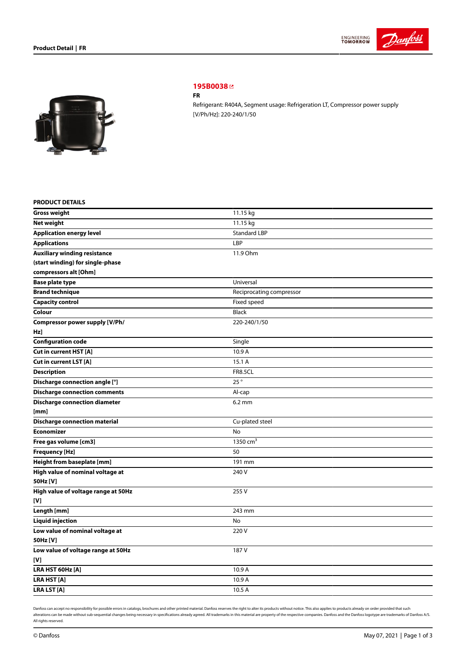



# **[195B0038](https://store.danfoss.com/sg/en/Climate-Solutions-for-cooling/Compressors/Compressors-for-Refrigeration/Danfoss-Light-Commercial-Refrigeration-Compressors/FR/p/195B0038)**

### **FR**

Refrigerant: R404A, Segment usage: Refrigeration LT, Compressor power supply [V/Ph/Hz]: 220-240/1/50

## **PRODUCT DETAILS**

| <b>Gross weight</b>                  | 11.15 kg                 |
|--------------------------------------|--------------------------|
| <b>Net weight</b>                    | 11.15 kg                 |
| <b>Application energy level</b>      | <b>Standard LBP</b>      |
| <b>Applications</b>                  | LBP                      |
| <b>Auxiliary winding resistance</b>  | 11.9 Ohm                 |
| (start winding) for single-phase     |                          |
| compressors alt [Ohm]                |                          |
| <b>Base plate type</b>               | Universal                |
| <b>Brand technique</b>               | Reciprocating compressor |
| <b>Capacity control</b>              | Fixed speed              |
| Colour                               | <b>Black</b>             |
| Compressor power supply [V/Ph/       | 220-240/1/50             |
| Hz]                                  |                          |
| <b>Configuration code</b>            | Single                   |
| Cut in current HST [A]               | 10.9 A                   |
| Cut in current LST [A]               | 15.1 A                   |
| <b>Description</b>                   | <b>FR8.5CL</b>           |
| Discharge connection angle [°]       | 25°                      |
| <b>Discharge connection comments</b> | Al-cap                   |
| <b>Discharge connection diameter</b> | $6.2 \text{ mm}$         |
| [mm]                                 |                          |
| <b>Discharge connection material</b> | Cu-plated steel          |
| Economizer                           | <b>No</b>                |
| Free gas volume [cm3]                | $1350$ cm <sup>3</sup>   |
| Frequency [Hz]                       | 50                       |
| Height from baseplate [mm]           | 191 mm                   |
| High value of nominal voltage at     | 240 V                    |
| 50Hz [V]                             |                          |
| High value of voltage range at 50Hz  | 255V                     |
| [V]                                  |                          |
| Length [mm]                          | 243 mm                   |
| <b>Liquid injection</b>              | No                       |
| Low value of nominal voltage at      | 220V                     |
| 50Hz [V]                             |                          |
| Low value of voltage range at 50Hz   | 187 V                    |
| [V]                                  |                          |
| LRA HST 60Hz [A]                     | 10.9 A                   |
| LRA HST [A]                          | 10.9 A                   |
| <b>LRA LST [A]</b>                   | 10.5 A                   |

Danfoss can accept no responsibility for possible errors in catalogs, brochures and other printed material. Danfoss reserves the right to alter its products without notice. This also applies to products already on order pr alterations can be made without sub-sequential changes being necessary in specifications already agreed. All trademarks in this material are property of the respective companies. Danfoss and the Danfoss logotype are tradem All rights reserved.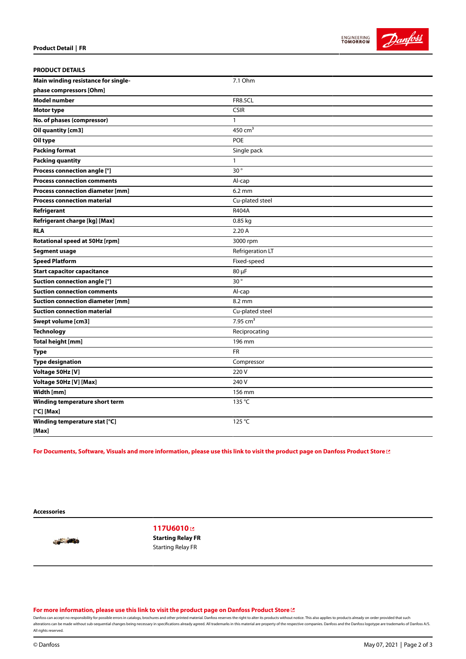

| <b>PRODUCT DETAILS</b>                  |                  |
|-----------------------------------------|------------------|
| Main winding resistance for single-     | 7.1 Ohm          |
| phase compressors [Ohm]                 |                  |
| <b>Model number</b>                     | <b>FR8.5CL</b>   |
| Motor type                              | <b>CSIR</b>      |
| No. of phases (compressor)              | 1                |
| Oil quantity [cm3]                      | 450 $cm3$        |
| Oil type                                | <b>POE</b>       |
| <b>Packing format</b>                   | Single pack      |
| <b>Packing quantity</b>                 | 1                |
| Process connection angle [°]            | 30°              |
| <b>Process connection comments</b>      | Al-cap           |
| <b>Process connection diameter [mm]</b> | 6.2 mm           |
| <b>Process connection material</b>      | Cu-plated steel  |
| Refrigerant                             | R404A            |
| Refrigerant charge [kg] [Max]           | $0.85$ kg        |
| <b>RLA</b>                              | 2.20A            |
| Rotational speed at 50Hz [rpm]          | 3000 rpm         |
| <b>Segment usage</b>                    | Refrigeration LT |
| <b>Speed Platform</b>                   | Fixed-speed      |
| <b>Start capacitor capacitance</b>      | 80 µF            |
| Suction connection angle [°]            | $30^{\circ}$     |
| <b>Suction connection comments</b>      | Al-cap           |
| <b>Suction connection diameter [mm]</b> | 8.2 mm           |
| <b>Suction connection material</b>      | Cu-plated steel  |
| Swept volume [cm3]                      | 7.95 $cm3$       |
| Technology                              | Reciprocating    |
| <b>Total height [mm]</b>                | 196 mm           |
| Type                                    | <b>FR</b>        |
| <b>Type designation</b>                 | Compressor       |
| Voltage 50Hz [V]                        | 220 V            |
| Voltage 50Hz [V] [Max]                  | 240 V            |
| Width [mm]                              | 156 mm           |
| Winding temperature short term          | 135 °C           |
| $[°C]$ [Max]                            |                  |
| Winding temperature stat [°C]           | 125 °C           |
| [Max]                                   |                  |

For Documents, Software, Visuals and more [information,](https://store.danfoss.com/sg/en/Climate-Solutions-for-cooling/Compressors/Compressors-for-Refrigeration/Danfoss-Light-Commercial-Refrigeration-Compressors/FR/p/195B0038) please use this link to visit the product page on Danfoss Product Store LZ

**Accessories**

**SALE AND** 

**[117U6010](https://store.danfoss.com/sg/en/Climate-Solutions-for-cooling/Compressors/Compressors-for-Refrigeration/Spare-Parts-and-Accessories-for-Light-Commercial-Compressors-%28Refrigeration%29/Starting-Relay-FR/p/117U6010)  Starting Relay FR** Starting Relay FR

**For more [information,](https://store.danfoss.com/sg/en/Climate-Solutions-for-cooling/Compressors/Compressors-for-Refrigeration/Danfoss-Light-Commercial-Refrigeration-Compressors/FR/p/195B0038) please use this link to visit the product page on Danfoss Product Store**

Danfoss can accept no responsibility for possible errors in catalogs, brochures and other printed material. Danfoss reserves the right to alter its products without notice. This also applies to products already on order pr alterations can be made without sub-sequential changes being necessary in specifications already agreed. All trademarks in this material are property of the respective companies. Danfoss and the Danfoss logotype are tradem All rights reserved.